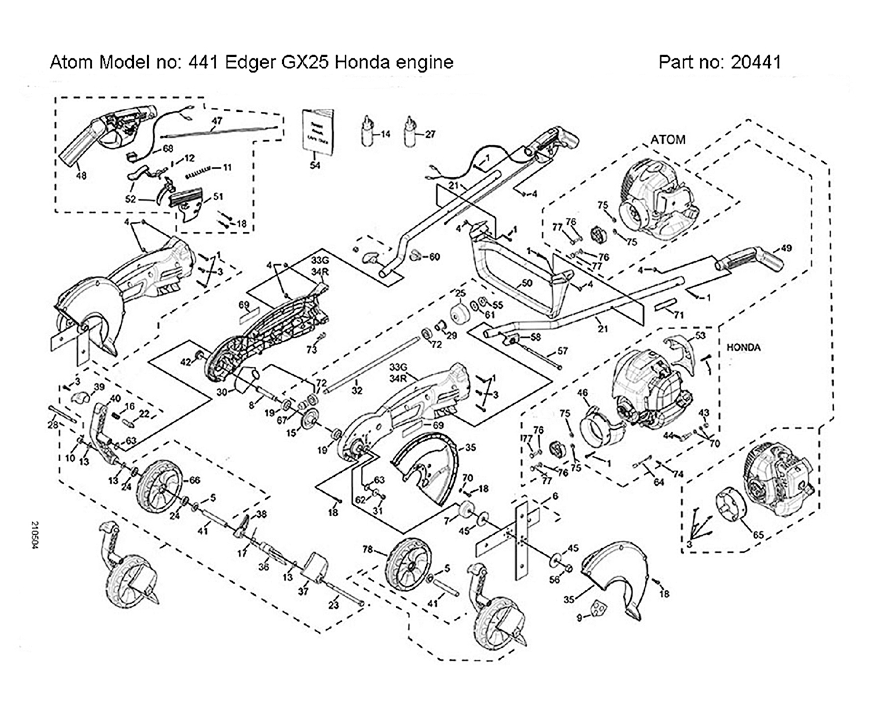Atom Model no: 441 Edger GX25 Honda engine

Part no: 20441



210504